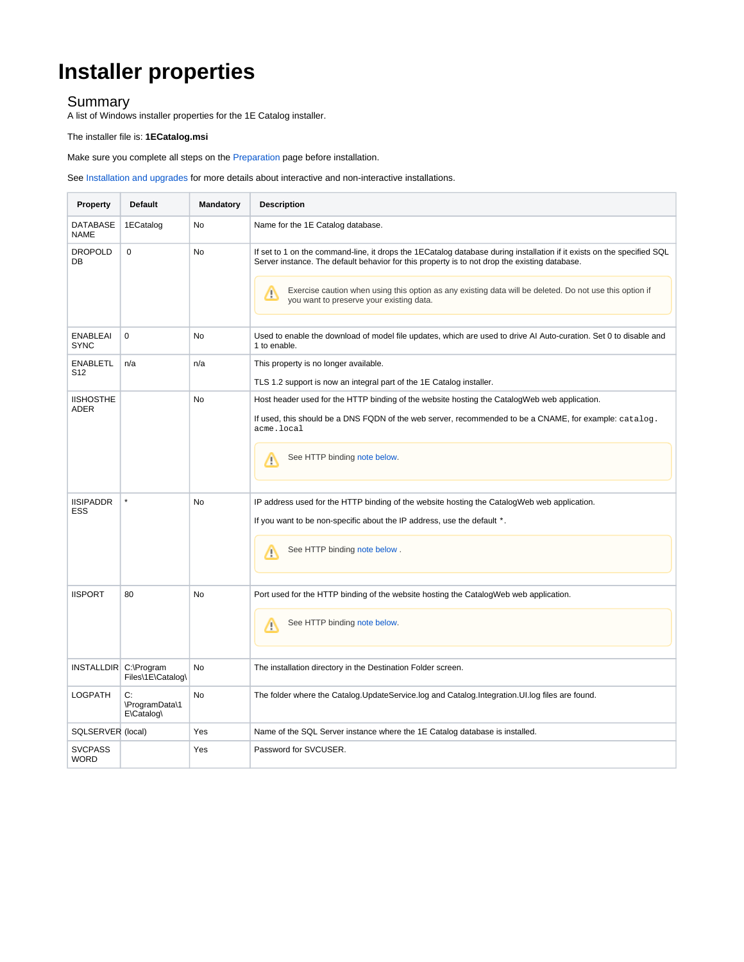# **Installer properties**

### Summary

A list of Windows installer properties for the 1E Catalog installer.

#### The installer file is: **1ECatalog.msi**

Make sure you complete all steps on the [Preparation](https://help.1e.com/display/CAT20/Preparation) page before installation.

#### See [Installation and upgrades](https://help.1e.com/display/CAT20/Installation+and+upgrades) for more details about interactive and non-interactive installations.

| Property                           | <b>Default</b>                     | Mandatory | <b>Description</b>                                                                                                                                                                                                                                                                                                                                                                  |
|------------------------------------|------------------------------------|-----------|-------------------------------------------------------------------------------------------------------------------------------------------------------------------------------------------------------------------------------------------------------------------------------------------------------------------------------------------------------------------------------------|
| <b>DATABASE</b><br>NAME            | 1ECatalog                          | No        | Name for the 1E Catalog database.                                                                                                                                                                                                                                                                                                                                                   |
| <b>DROPOLD</b><br>DB               | $\mathbf 0$                        | No        | If set to 1 on the command-line, it drops the 1ECatalog database during installation if it exists on the specified SQL<br>Server instance. The default behavior for this property is to not drop the existing database.<br>Exercise caution when using this option as any existing data will be deleted. Do not use this option if<br>Λ<br>you want to preserve your existing data. |
| <b>ENABLEAI</b><br>SYNC            | $\mathbf 0$                        | No        | Used to enable the download of model file updates, which are used to drive AI Auto-curation. Set 0 to disable and<br>1 to enable.                                                                                                                                                                                                                                                   |
| <b>ENABLETL</b><br>S <sub>12</sub> | n/a                                | n/a       | This property is no longer available.<br>TLS 1.2 support is now an integral part of the 1E Catalog installer.                                                                                                                                                                                                                                                                       |
| <b>IISHOSTHE</b>                   |                                    | <b>No</b> | Host header used for the HTTP binding of the website hosting the CatalogWeb web application.                                                                                                                                                                                                                                                                                        |
| ADER                               |                                    |           | If used, this should be a DNS FQDN of the web server, recommended to be a CNAME, for example: catalog.<br>acme.local                                                                                                                                                                                                                                                                |
|                                    |                                    |           | See HTTP binding note below.<br>灬                                                                                                                                                                                                                                                                                                                                                   |
| <b>IISIPADDR</b><br>ESS            | $\star$                            | No        | IP address used for the HTTP binding of the website hosting the CatalogWeb web application.<br>If you want to be non-specific about the IP address, use the default *.                                                                                                                                                                                                              |
|                                    |                                    |           |                                                                                                                                                                                                                                                                                                                                                                                     |
|                                    |                                    |           | See HTTP binding note below.<br>Λ                                                                                                                                                                                                                                                                                                                                                   |
| <b>IISPORT</b>                     | 80                                 | No        | Port used for the HTTP binding of the website hosting the CatalogWeb web application.                                                                                                                                                                                                                                                                                               |
|                                    |                                    |           | See HTTP binding note below.<br>Λ                                                                                                                                                                                                                                                                                                                                                   |
| INSTALLDIR C:\Program              | Files\1E\Catalog\                  | No        | The installation directory in the Destination Folder screen.                                                                                                                                                                                                                                                                                                                        |
| <b>LOGPATH</b>                     | C:<br>\ProgramData\1<br>E\Catalog\ | No        | The folder where the Catalog.UpdateService.log and Catalog.Integration.UI.log files are found.                                                                                                                                                                                                                                                                                      |
| SQLSERVER (local)                  |                                    | Yes       | Name of the SQL Server instance where the 1E Catalog database is installed.                                                                                                                                                                                                                                                                                                         |
| <b>SVCPASS</b><br>WORD             |                                    | Yes       | Password for SVCUSER.                                                                                                                                                                                                                                                                                                                                                               |